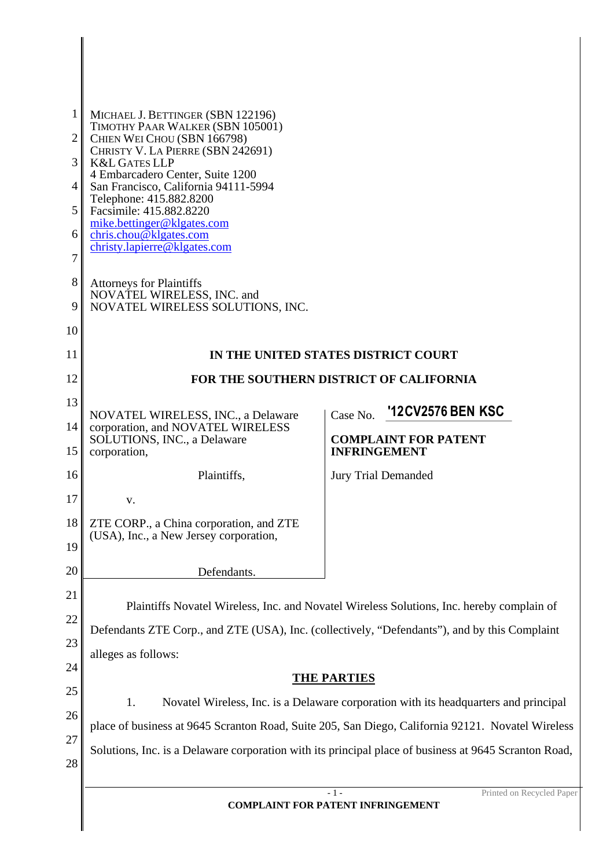| 1<br>2<br>3<br>4<br>5 <sup>5</sup><br>6<br>7 | MICHAEL J. BETTINGER (SBN 122196)<br>TIMOTHY PAAR WALKER (SBN 105001)<br>CHIEN WEI CHOU (SBN 166798)<br>CHRISTY V. LA PIERRE (SBN 242691)<br><b>K&amp;L GATES LLP</b><br>4 Embarcadero Center, Suite 1200<br>San Francisco, California 94111-5994<br>Telephone: 415.882.8200<br>Facsimile: 415.882.8220<br>mike.bettinger@klgates.com<br>chris.chou@klgates.com<br>christy.lapierre@klgates.com |                                                    |  |
|----------------------------------------------|-------------------------------------------------------------------------------------------------------------------------------------------------------------------------------------------------------------------------------------------------------------------------------------------------------------------------------------------------------------------------------------------------|----------------------------------------------------|--|
| 8<br>9                                       | <b>Attorneys for Plaintiffs</b><br>NOVATEL WIRELESS, INC. and<br>NOVATEL WIRELESS SOLUTIONS, INC.                                                                                                                                                                                                                                                                                               |                                                    |  |
| 10                                           |                                                                                                                                                                                                                                                                                                                                                                                                 |                                                    |  |
| 11                                           | IN THE UNITED STATES DISTRICT COURT                                                                                                                                                                                                                                                                                                                                                             |                                                    |  |
| 12                                           | FOR THE SOUTHERN DISTRICT OF CALIFORNIA                                                                                                                                                                                                                                                                                                                                                         |                                                    |  |
| 13                                           |                                                                                                                                                                                                                                                                                                                                                                                                 | '12CV2576 BEN KSC<br>Case No.                      |  |
| 14<br>15                                     | NOVATEL WIRELESS, INC., a Delaware<br>corporation, and NOVATEL WIRELESS<br>SOLUTIONS, INC., a Delaware<br>corporation,                                                                                                                                                                                                                                                                          | <b>COMPLAINT FOR PATENT</b><br><b>INFRINGEMENT</b> |  |
| 16                                           | Plaintiffs,                                                                                                                                                                                                                                                                                                                                                                                     | <b>Jury Trial Demanded</b>                         |  |
| 17                                           | V.                                                                                                                                                                                                                                                                                                                                                                                              |                                                    |  |
| 18<br>19                                     | ZTE CORP., a China corporation, and ZTE<br>(USA), Inc., a New Jersey corporation,                                                                                                                                                                                                                                                                                                               |                                                    |  |
| 20                                           | Defendants.                                                                                                                                                                                                                                                                                                                                                                                     |                                                    |  |
| 21                                           |                                                                                                                                                                                                                                                                                                                                                                                                 |                                                    |  |
| 22                                           | Plaintiffs Novatel Wireless, Inc. and Novatel Wireless Solutions, Inc. hereby complain of                                                                                                                                                                                                                                                                                                       |                                                    |  |
| 23                                           | Defendants ZTE Corp., and ZTE (USA), Inc. (collectively, "Defendants"), and by this Complaint<br>alleges as follows:<br><b>THE PARTIES</b>                                                                                                                                                                                                                                                      |                                                    |  |
| 24                                           |                                                                                                                                                                                                                                                                                                                                                                                                 |                                                    |  |
| 25                                           | Novatel Wireless, Inc. is a Delaware corporation with its headquarters and principal<br>1.                                                                                                                                                                                                                                                                                                      |                                                    |  |
| 26                                           | place of business at 9645 Scranton Road, Suite 205, San Diego, California 92121. Novatel Wireless                                                                                                                                                                                                                                                                                               |                                                    |  |
| 27                                           | Solutions, Inc. is a Delaware corporation with its principal place of business at 9645 Scranton Road,                                                                                                                                                                                                                                                                                           |                                                    |  |
| 28                                           |                                                                                                                                                                                                                                                                                                                                                                                                 |                                                    |  |
|                                              | $-1-$<br>Printed on Recycled Paper<br><b>COMPLAINT FOR PATENT INFRINGEMENT</b>                                                                                                                                                                                                                                                                                                                  |                                                    |  |

Ι

 $\parallel$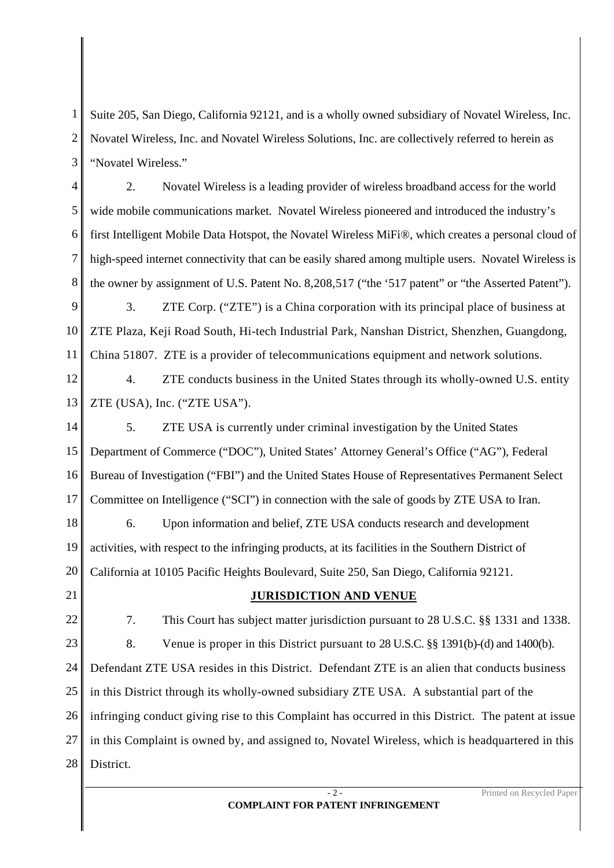1 2 3 Suite 205, San Diego, California 92121, and is a wholly owned subsidiary of Novatel Wireless, Inc. Novatel Wireless, Inc. and Novatel Wireless Solutions, Inc. are collectively referred to herein as "Novatel Wireless."

4 5 6 7 8 2. Novatel Wireless is a leading provider of wireless broadband access for the world wide mobile communications market. Novatel Wireless pioneered and introduced the industry's first Intelligent Mobile Data Hotspot, the Novatel Wireless MiFi®, which creates a personal cloud of high-speed internet connectivity that can be easily shared among multiple users. Novatel Wireless is the owner by assignment of U.S. Patent No. 8,208,517 ("the '517 patent" or "the Asserted Patent").

9 10 11 3. ZTE Corp. ("ZTE") is a China corporation with its principal place of business at ZTE Plaza, Keji Road South, Hi-tech Industrial Park, Nanshan District, Shenzhen, Guangdong, China 51807. ZTE is a provider of telecommunications equipment and network solutions.

12 13 4. ZTE conducts business in the United States through its wholly-owned U.S. entity ZTE (USA), Inc. ("ZTE USA").

14 15 16 17 5. ZTE USA is currently under criminal investigation by the United States Department of Commerce ("DOC"), United States' Attorney General's Office ("AG"), Federal Bureau of Investigation ("FBI") and the United States House of Representatives Permanent Select Committee on Intelligence ("SCI") in connection with the sale of goods by ZTE USA to Iran.

18 19 20 6. Upon information and belief, ZTE USA conducts research and development activities, with respect to the infringing products, at its facilities in the Southern District of California at 10105 Pacific Heights Boulevard, Suite 250, San Diego, California 92121.

- 21
- 22

## **JURISDICTION AND VENUE**

23 24 25 26 27 28 7. This Court has subject matter jurisdiction pursuant to 28 U.S.C. §§ 1331 and 1338. 8. Venue is proper in this District pursuant to 28 U.S.C. §§ 1391(b)-(d) and 1400(b). Defendant ZTE USA resides in this District. Defendant ZTE is an alien that conducts business in this District through its wholly-owned subsidiary ZTE USA. A substantial part of the infringing conduct giving rise to this Complaint has occurred in this District. The patent at issue in this Complaint is owned by, and assigned to, Novatel Wireless, which is headquartered in this District.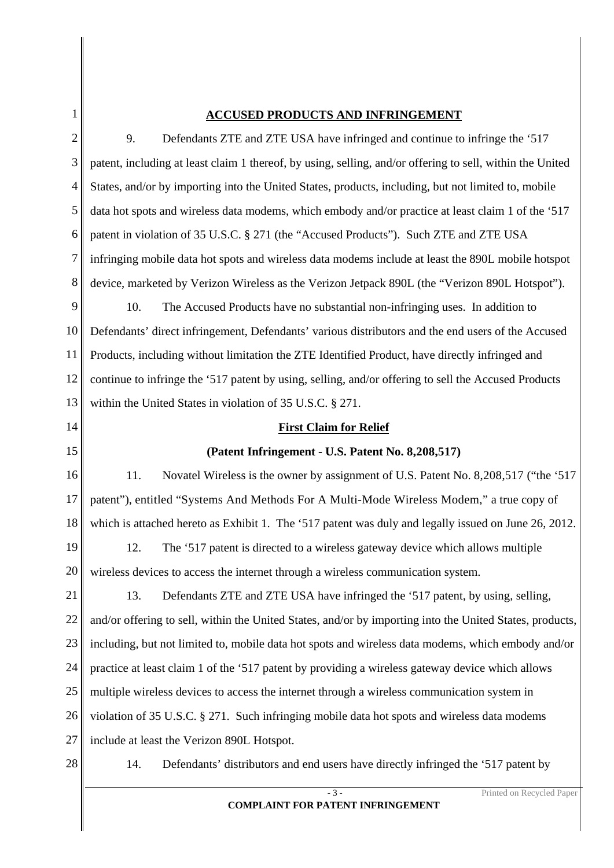## **ACCUSED PRODUCTS AND INFRINGEMENT**

1

| $\overline{2}$ | Defendants ZTE and ZTE USA have infringed and continue to infringe the '517<br>9.                         |  |  |
|----------------|-----------------------------------------------------------------------------------------------------------|--|--|
| 3              | patent, including at least claim 1 thereof, by using, selling, and/or offering to sell, within the United |  |  |
| $\overline{4}$ | States, and/or by importing into the United States, products, including, but not limited to, mobile       |  |  |
| 5              | data hot spots and wireless data modems, which embody and/or practice at least claim 1 of the '517        |  |  |
| 6              | patent in violation of 35 U.S.C. § 271 (the "Accused Products"). Such ZTE and ZTE USA                     |  |  |
| 7              | infringing mobile data hot spots and wireless data modems include at least the 890L mobile hotspot        |  |  |
| 8              | device, marketed by Verizon Wireless as the Verizon Jetpack 890L (the "Verizon 890L Hotspot").            |  |  |
| 9              | 10.<br>The Accused Products have no substantial non-infringing uses. In addition to                       |  |  |
| 10             | Defendants' direct infringement, Defendants' various distributors and the end users of the Accused        |  |  |
| 11             | Products, including without limitation the ZTE Identified Product, have directly infringed and            |  |  |
| 12             | continue to infringe the '517 patent by using, selling, and/or offering to sell the Accused Products      |  |  |
| 13             | within the United States in violation of 35 U.S.C. § 271.                                                 |  |  |
| 14             | <b>First Claim for Relief</b>                                                                             |  |  |
| 15             | (Patent Infringement - U.S. Patent No. 8,208,517)                                                         |  |  |
| 16             | 11.<br>Novatel Wireless is the owner by assignment of U.S. Patent No. 8,208,517 ("the '517                |  |  |
| 17             | patent"), entitled "Systems And Methods For A Multi-Mode Wireless Modem," a true copy of                  |  |  |
| 18             | which is attached hereto as Exhibit 1. The '517 patent was duly and legally issued on June 26, 2012.      |  |  |
| 19             | 12.<br>The '517 patent is directed to a wireless gateway device which allows multiple                     |  |  |
| 20             | wireless devices to access the internet through a wireless communication system.                          |  |  |
| 21             | Defendants ZTE and ZTE USA have infringed the '517 patent, by using, selling,<br>13.                      |  |  |
| 22             | and/or offering to sell, within the United States, and/or by importing into the United States, products,  |  |  |
| 23             | including, but not limited to, mobile data hot spots and wireless data modems, which embody and/or        |  |  |
| 24             | practice at least claim 1 of the '517 patent by providing a wireless gateway device which allows          |  |  |
| 25             | multiple wireless devices to access the internet through a wireless communication system in               |  |  |
| 26             | violation of 35 U.S.C. § 271. Such infringing mobile data hot spots and wireless data modems              |  |  |
| 27             | include at least the Verizon 890L Hotspot.                                                                |  |  |
| 28             | Defendants' distributors and end users have directly infringed the '517 patent by<br>14.                  |  |  |

**COMPLAINT FOR PATENT INFRINGEMENT**

- 3 - Printed on Recycled Paper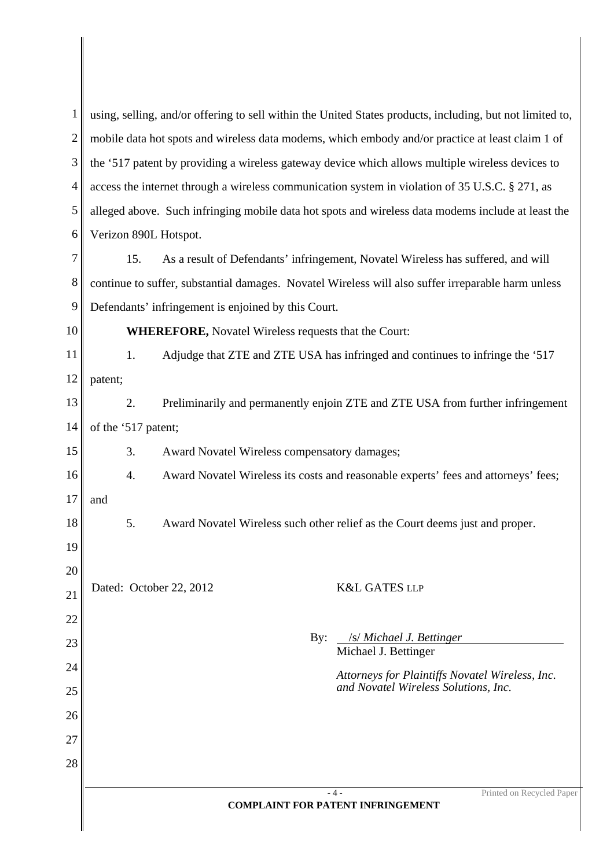| $\mathbf{1}$   | using, selling, and/or offering to sell within the United States products, including, but not limited to, |  |  |
|----------------|-----------------------------------------------------------------------------------------------------------|--|--|
| $\overline{2}$ | mobile data hot spots and wireless data modems, which embody and/or practice at least claim 1 of          |  |  |
| 3              | the '517 patent by providing a wireless gateway device which allows multiple wireless devices to          |  |  |
| 4              | access the internet through a wireless communication system in violation of 35 U.S.C. § 271, as           |  |  |
| 5              | alleged above. Such infringing mobile data hot spots and wireless data modems include at least the        |  |  |
| 6              | Verizon 890L Hotspot.                                                                                     |  |  |
| 7              | 15.<br>As a result of Defendants' infringement, Novatel Wireless has suffered, and will                   |  |  |
| 8              | continue to suffer, substantial damages. Novatel Wireless will also suffer irreparable harm unless        |  |  |
| 9              | Defendants' infringement is enjoined by this Court.                                                       |  |  |
| 10             | <b>WHEREFORE, Novatel Wireless requests that the Court:</b>                                               |  |  |
| 11             | Adjudge that ZTE and ZTE USA has infringed and continues to infringe the '517<br>1.                       |  |  |
| 12             | patent;                                                                                                   |  |  |
| 13             | 2.<br>Preliminarily and permanently enjoin ZTE and ZTE USA from further infringement                      |  |  |
| 14             | of the '517 patent;                                                                                       |  |  |
| 15             | 3.<br>Award Novatel Wireless compensatory damages;                                                        |  |  |
| 16             | Award Novatel Wireless its costs and reasonable experts' fees and attorneys' fees;<br>4.                  |  |  |
| 17             | and                                                                                                       |  |  |
| 18             | 5.<br>Award Novatel Wireless such other relief as the Court deems just and proper.                        |  |  |
| 19             |                                                                                                           |  |  |
| 20             | Dated: October 22, 2012<br><b>K&amp;L GATES LLP</b>                                                       |  |  |
| 21             |                                                                                                           |  |  |
| 22             | /s/ Michael J. Bettinger<br>By:                                                                           |  |  |
| 23             | Michael J. Bettinger                                                                                      |  |  |
| 24             | Attorneys for Plaintiffs Novatel Wireless, Inc.<br>and Novatel Wireless Solutions, Inc.                   |  |  |
| 25             |                                                                                                           |  |  |
| 26             |                                                                                                           |  |  |
| 27             |                                                                                                           |  |  |
| 28             |                                                                                                           |  |  |
|                | Printed on Recycled Paper<br>- 4 -<br><b>COMPLAINT FOR PATENT INFRINGEMENT</b>                            |  |  |
|                |                                                                                                           |  |  |